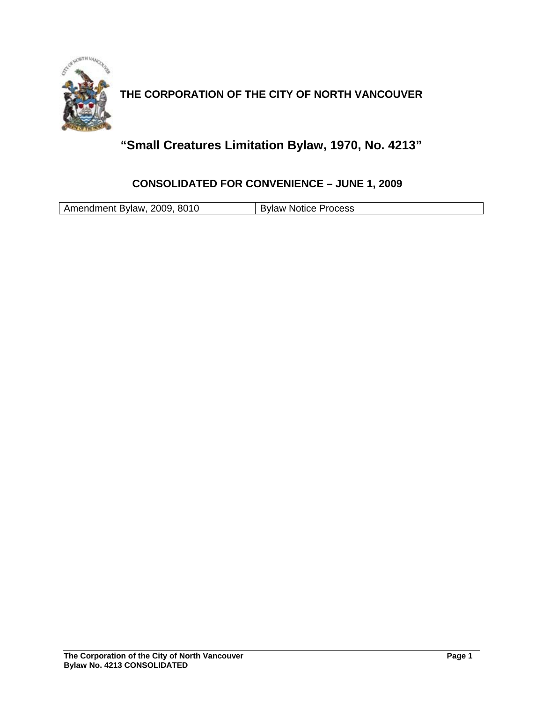

**THE CORPORATION OF THE CITY OF NORTH VANCOUVER** 

# **"Small Creatures Limitation Bylaw, 1970, No. 4213"**

### **CONSOLIDATED FOR CONVENIENCE – JUNE 1, 2009**

Amendment Bylaw, 2009, 8010 | Bylaw Notice Process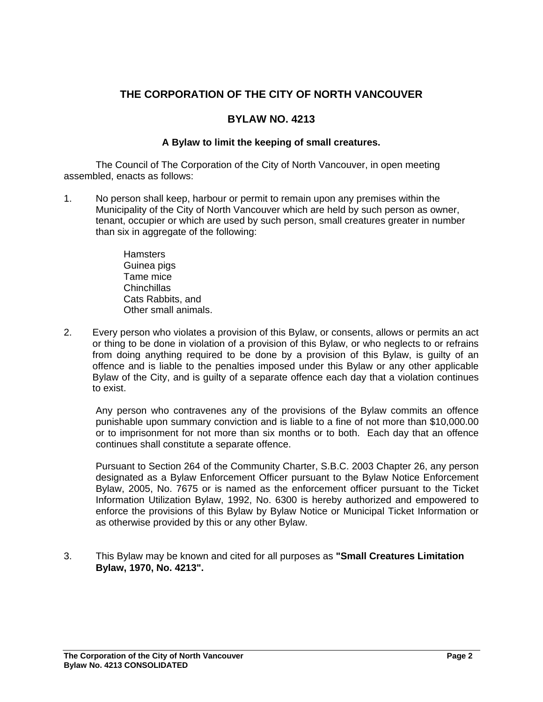## **THE CORPORATION OF THE CITY OF NORTH VANCOUVER**

#### **BYLAW NO. 4213**

#### **A Bylaw to limit the keeping of small creatures.**

The Council of The Corporation of the City of North Vancouver, in open meeting assembled, enacts as follows:

- 1. No person shall keep, harbour or permit to remain upon any premises within the Municipality of the City of North Vancouver which are held by such person as owner, tenant, occupier or which are used by such person, small creatures greater in number than six in aggregate of the following:
	- **Hamsters** Guinea pigs Tame mice Chinchillas Cats Rabbits, and Other small animals.
- 2. Every person who violates a provision of this Bylaw, or consents, allows or permits an act or thing to be done in violation of a provision of this Bylaw, or who neglects to or refrains from doing anything required to be done by a provision of this Bylaw, is guilty of an offence and is liable to the penalties imposed under this Bylaw or any other applicable Bylaw of the City, and is guilty of a separate offence each day that a violation continues to exist.

Any person who contravenes any of the provisions of the Bylaw commits an offence punishable upon summary conviction and is liable to a fine of not more than \$10,000.00 or to imprisonment for not more than six months or to both. Each day that an offence continues shall constitute a separate offence.

Pursuant to Section 264 of the Community Charter, S.B.C. 2003 Chapter 26, any person designated as a Bylaw Enforcement Officer pursuant to the Bylaw Notice Enforcement Bylaw, 2005, No. 7675 or is named as the enforcement officer pursuant to the Ticket Information Utilization Bylaw, 1992, No. 6300 is hereby authorized and empowered to enforce the provisions of this Bylaw by Bylaw Notice or Municipal Ticket Information or as otherwise provided by this or any other Bylaw.

3. This Bylaw may be known and cited for all purposes as **"Small Creatures Limitation Bylaw, 1970, No. 4213".**